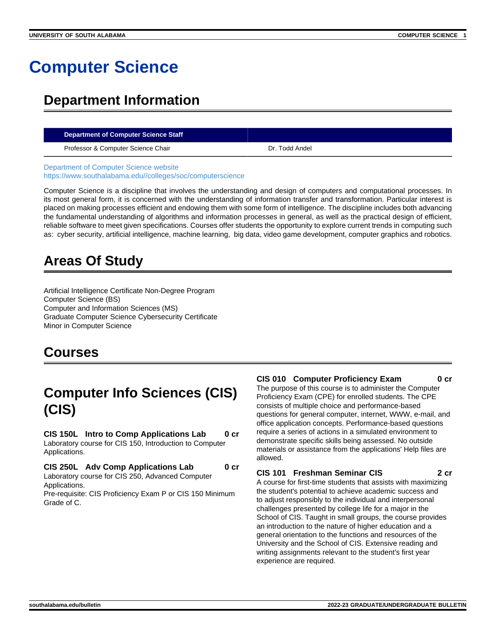# **Computer Science**

# **Department Information**

#### **Department of Computer Science Staff**

Professor & Computer Science Chair **Dr. Todd Andel** Dr. Todd Andel

[Department of Computer Science website](https://www.southalabama.edu/colleges/soc/computerscience) [https://www.southalabama.edu//colleges/soc/computerscience](https://www.southalabama.edu/colleges/soc/computerscience)

Computer Science is a discipline that involves the understanding and design of computers and computational processes. In its most general form, it is concerned with the understanding of information transfer and transformation. Particular interest is placed on making processes efficient and endowing them with some form of intelligence. The discipline includes both advancing the fundamental understanding of algorithms and information processes in general, as well as the practical design of efficient, reliable software to meet given specifications. Courses offer students the opportunity to explore current trends in computing such as: cyber security, artificial intelligence, machine learning, big data, video game development, computer graphics and robotics.

# **Areas Of Study**

Artificial Intelligence Certificate Non-Degree Program Computer Science (BS) Computer and Information Sciences (MS) Graduate Computer Science Cybersecurity Certificate Minor in Computer Science

# **Courses**

# **Computer Info Sciences (CIS) (CIS)**

**CIS 150L Intro to Comp Applications Lab 0 cr**

Laboratory course for CIS 150, Introduction to Computer Applications.

**CIS 250L Adv Comp Applications Lab 0 cr**

Laboratory course for CIS 250, Advanced Computer Applications.

Pre-requisite: CIS Proficiency Exam P or CIS 150 Minimum Grade of C.

#### **CIS 010 Computer Proficiency Exam 0 cr**

The purpose of this course is to administer the Computer Proficiency Exam (CPE) for enrolled students. The CPE consists of multiple choice and performance-based questions for general computer, internet, WWW, e-mail, and office application concepts. Performance-based questions require a series of actions in a simulated environment to demonstrate specific skills being assessed. No outside materials or assistance from the applications' Help files are allowed.

#### **CIS 101 Freshman Seminar CIS 2 cr**

A course for first-time students that assists with maximizing the student's potential to achieve academic success and to adjust responsibly to the individual and interpersonal challenges presented by college life for a major in the School of CIS. Taught in small groups, the course provides an introduction to the nature of higher education and a general orientation to the functions and resources of the University and the School of CIS. Extensive reading and writing assignments relevant to the student's first year experience are required.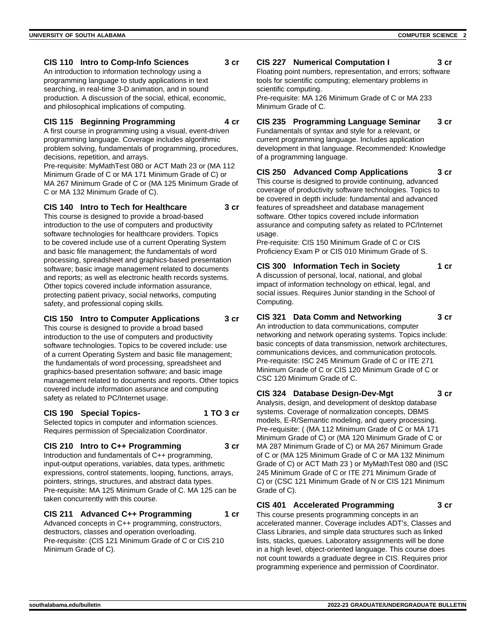#### **CIS 110 Intro to Comp-Info Sciences 3 cr**

An introduction to information technology using a programming language to study applications in text searching, in real-time 3-D animation, and in sound production. A discussion of the social, ethical, economic, and philosophical implications of computing.

#### **CIS 115 Beginning Programming 4 cr**

A first course in programming using a visual, event-driven programming language. Coverage includes algorithmic problem solving, fundamentals of programming, procedures, decisions, repetition, and arrays.

Pre-requisite: MyMathTest 080 or ACT Math 23 or (MA 112 Minimum Grade of C or MA 171 Minimum Grade of C) or MA 267 Minimum Grade of C or (MA 125 Minimum Grade of C or MA 132 Minimum Grade of C).

#### **CIS 140 Intro to Tech for Healthcare 3 cr**

This course is designed to provide a broad-based introduction to the use of computers and productivity software technologies for healthcare providers. Topics to be covered include use of a current Operating System and basic file management; the fundamentals of word processing, spreadsheet and graphics-based presentation software; basic image management related to documents and reports; as well as electronic health records systems. Other topics covered include information assurance, protecting patient privacy, social networks, computing safety, and professional coping skills.

### **CIS 150 Intro to Computer Applications 3 cr**

This course is designed to provide a broad based introduction to the use of computers and productivity software technologies. Topics to be covered include: use of a current Operating System and basic file management; the fundamentals of word processing, spreadsheet and graphics-based presentation software; and basic image management related to documents and reports. Other topics covered include information assurance and computing safety as related to PC/Internet usage.

# **CIS 190 Special Topics- 1 TO 3 cr**

Selected topics in computer and information sciences. Requires permission of Specialization Coordinator.

# **CIS 210 Intro to C++ Programming 3 cr**

Introduction and fundamentals of C++ programming, input-output operations, variables, data types, arithmetic expressions, control statements, looping, functions, arrays, pointers, strings, structures, and abstract data types. Pre-requisite: MA 125 Minimum Grade of C. MA 125 can be taken concurrently with this course.

# **CIS 211 Advanced C++ Programming 1 cr**

Advanced concepts in C++ programming, constructors, destructors, classes and operation overloading. Pre-requisite: (CIS 121 Minimum Grade of C or CIS 210 Minimum Grade of C).

#### **CIS 227 Numerical Computation I 3 cr** Floating point numbers, representation, and errors; software

tools for scientific computing; elementary problems in scientific computing. Pre-requisite: MA 126 Minimum Grade of C or MA 233

Minimum Grade of C.

# **CIS 235 Programming Language Seminar 3 cr**

Fundamentals of syntax and style for a relevant, or current programming language. Includes application development in that language. Recommended: Knowledge of a programming language.

### **CIS 250 Advanced Comp Applications 3 cr**

This course is designed to provide continuing, advanced coverage of productivity software technologies. Topics to be covered in depth include: fundamental and advanced features of spreadsheet and database management software. Other topics covered include information assurance and computing safety as related to PC/Internet usage.

Pre-requisite: CIS 150 Minimum Grade of C or CIS Proficiency Exam P or CIS 010 Minimum Grade of S.

# **CIS 300 Information Tech in Society 1 cr**

A discussion of personal, local, national, and global impact of information technology on ethical, legal, and social issues. Requires Junior standing in the School of Computing.

# **CIS 321 Data Comm and Networking 3 cr**

An introduction to data communications, computer networking and network operating systems. Topics include: basic concepts of data transmission, network architectures, communications devices, and communication protocols. Pre-requisite: ISC 245 Minimum Grade of C or ITE 271 Minimum Grade of C or CIS 120 Minimum Grade of C or CSC 120 Minimum Grade of C.

#### **CIS 324 Database Design-Dev-Mgt 3 cr** Analysis, design, and development of desktop database systems. Coverage of normalization concepts, DBMS

models, E-R/Semantic modeling, and query processing. Pre-requisite: ( (MA 112 Minimum Grade of C or MA 171 Minimum Grade of C) or (MA 120 Minimum Grade of C or MA 287 Minimum Grade of C) or MA 267 Minimum Grade of C or (MA 125 Minimum Grade of C or MA 132 Minimum Grade of C) or ACT Math 23 ) or MyMathTest 080 and (ISC 245 Minimum Grade of C or ITE 271 Minimum Grade of C) or (CSC 121 Minimum Grade of N or CIS 121 Minimum Grade of C).

# **CIS 401 Accelerated Programming 3 cr**

This course presents programming concepts in an accelerated manner. Coverage includes ADT's, Classes and Class Libraries, and simple data structures such as linked lists, stacks, queues. Laboratory assignments will be done in a high level, object-oriented language. This course does not count towards a graduate degree in CIS. Requires prior programming experience and permission of Coordinator.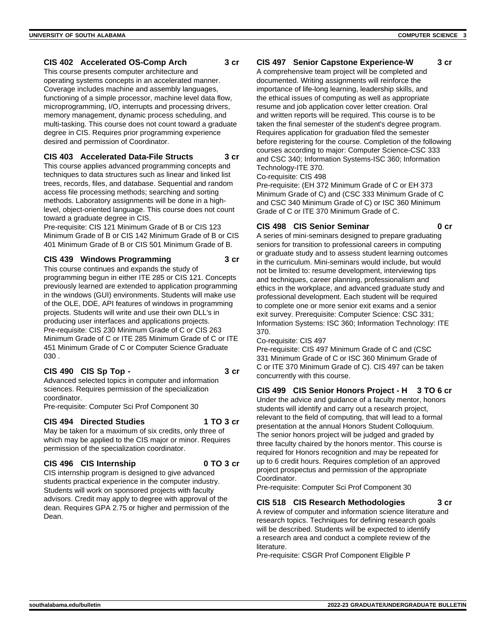#### **CIS 402 Accelerated OS-Comp Arch 3 cr**

This course presents computer architecture and operating systems concepts in an accelerated manner. Coverage includes machine and assembly languages, functioning of a simple processor, machine level data flow, microprogramming, I/O, interrupts and processing drivers, memory management, dynamic process scheduling, and multi-tasking. This course does not count toward a graduate degree in CIS. Requires prior programming experience desired and permission of Coordinator.

#### **CIS 403 Accelerated Data-File Structs 3 cr**

This course applies advanced programming concepts and techniques to data structures such as linear and linked list trees, records, files, and database. Sequential and random access file processing methods; searching and sorting methods. Laboratory assignments will be done in a highlevel, object-oriented language. This course does not count toward a graduate degree in CIS.

Pre-requisite: CIS 121 Minimum Grade of B or CIS 123 Minimum Grade of B or CIS 142 Minimum Grade of B or CIS 401 Minimum Grade of B or CIS 501 Minimum Grade of B.

#### **CIS 439 Windows Programming 3 cr**

This course continues and expands the study of programming begun in either ITE 285 or CIS 121. Concepts previously learned are extended to application programming in the windows (GUI) environments. Students will make use of the OLE, DDE, API features of windows in programming projects. Students will write and use their own DLL's in producing user interfaces and applications projects. Pre-requisite: CIS 230 Minimum Grade of C or CIS 263 Minimum Grade of C or ITE 285 Minimum Grade of C or ITE 451 Minimum Grade of C or Computer Science Graduate 030 .

#### **CIS 490 CIS Sp Top - 3 cr**

Advanced selected topics in computer and information sciences. Requires permission of the specialization coordinator.

Pre-requisite: Computer Sci Prof Component 30

#### **CIS 494 Directed Studies 1 TO 3 cr**

May be taken for a maximum of six credits, only three of which may be applied to the CIS major or minor. Requires permission of the specialization coordinator.

#### **CIS 496 CIS Internship 0 TO 3 cr**

CIS internship program is designed to give advanced students practical experience in the computer industry. Students will work on sponsored projects with faculty advisors. Credit may apply to degree with approval of the dean. Requires GPA 2.75 or higher and permission of the Dean.

# **CIS 497 Senior Capstone Experience-W 3 cr**

A comprehensive team project will be completed and documented. Writing assignments will reinforce the importance of life-long learning, leadership skills, and the ethical issues of computing as well as appropriate resume and job application cover letter creation. Oral and written reports will be required. This course is to be taken the final semester of the student's degree program. Requires application for graduation filed the semester before registering for the course. Completion of the following courses according to major: Computer Science-CSC 333 and CSC 340; Information Systems-ISC 360; Information Technology-ITE 370.

Co-requisite: CIS 498

Pre-requisite: (EH 372 Minimum Grade of C or EH 373 Minimum Grade of C) and (CSC 333 Minimum Grade of C and CSC 340 Minimum Grade of C) or ISC 360 Minimum Grade of C or ITE 370 Minimum Grade of C.

#### **CIS 498 CIS Senior Seminar 0 cr**

A series of mini-seminars designed to prepare graduating seniors for transition to professional careers in computing or graduate study and to assess student learning outcomes in the curriculum. Mini-seminars would include, but would not be limited to: resume development, interviewing tips and techniques, career planning, professionalism and ethics in the workplace, and advanced graduate study and professional development. Each student will be required to complete one or more senior exit exams and a senior exit survey. Prerequisite: Computer Science: CSC 331; Information Systems: ISC 360; Information Technology: ITE 370.

#### Co-requisite: CIS 497

Pre-requisite: CIS 497 Minimum Grade of C and (CSC 331 Minimum Grade of C or ISC 360 Minimum Grade of C or ITE 370 Minimum Grade of C). CIS 497 can be taken concurrently with this course.

#### **CIS 499 CIS Senior Honors Project - H 3 TO 6 cr**

Under the advice and guidance of a faculty mentor, honors students will identify and carry out a research project, relevant to the field of computing, that will lead to a formal presentation at the annual Honors Student Colloquium. The senior honors project will be judged and graded by three faculty chaired by the honors mentor. This course is required for Honors recognition and may be repeated for up to 6 credit hours. Requires completion of an approved project prospectus and permission of the appropriate Coordinator.

Pre-requisite: Computer Sci Prof Component 30

# **CIS 518 CIS Research Methodologies 3 cr**

A review of computer and information science literature and research topics. Techniques for defining research goals will be described. Students will be expected to identify a research area and conduct a complete review of the literature.

Pre-requisite: CSGR Prof Component Eligible P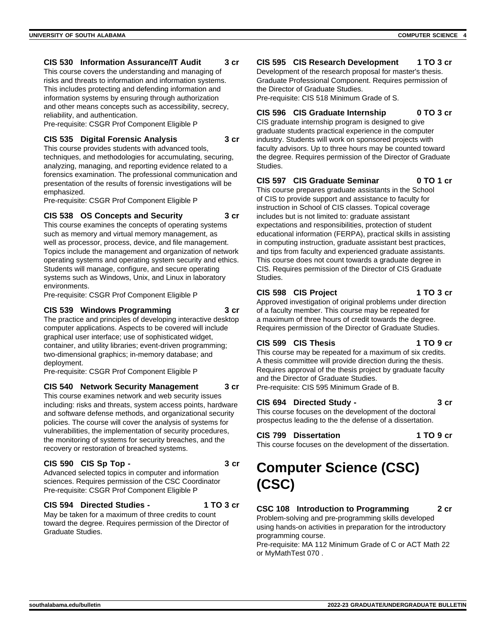#### **CIS 530 Information Assurance/IT Audit 3 cr**

This course covers the understanding and managing of risks and threats to information and information systems. This includes protecting and defending information and information systems by ensuring through authorization and other means concepts such as accessibility, secrecy, reliability, and authentication.

Pre-requisite: CSGR Prof Component Eligible P

#### **CIS 535 Digital Forensic Analysis 3 cr**

This course provides students with advanced tools, techniques, and methodologies for accumulating, securing, analyzing, managing, and reporting evidence related to a forensics examination. The professional communication and presentation of the results of forensic investigations will be emphasized.

Pre-requisite: CSGR Prof Component Eligible P

#### **CIS 538 OS Concepts and Security 3 cr**

This course examines the concepts of operating systems such as memory and virtual memory management, as well as processor, process, device, and file management. Topics include the management and organization of network operating systems and operating system security and ethics. Students will manage, configure, and secure operating systems such as Windows, Unix, and Linux in laboratory environments.

Pre-requisite: CSGR Prof Component Eligible P

#### **CIS 539 Windows Programming 3 cr**

The practice and principles of developing interactive desktop computer applications. Aspects to be covered will include graphical user interface; use of sophisticated widget, container, and utility libraries; event-driven programming; two-dimensional graphics; in-memory database; and deployment.

Pre-requisite: CSGR Prof Component Eligible P

#### **CIS 540 Network Security Management 3 cr**

This course examines network and web security issues including: risks and threats, system access points, hardware and software defense methods, and organizational security policies. The course will cover the analysis of systems for vulnerabilities, the implementation of security procedures, the monitoring of systems for security breaches, and the recovery or restoration of breached systems.

#### **CIS 590 CIS Sp Top - 3 cr**

Advanced selected topics in computer and information sciences. Requires permission of the CSC Coordinator Pre-requisite: CSGR Prof Component Eligible P

#### **CIS 594 Directed Studies - 1 TO 3 cr**

May be taken for a maximum of three credits to count toward the degree. Requires permission of the Director of Graduate Studies.

### **CIS 595 CIS Research Development 1 TO 3 cr**

Development of the research proposal for master's thesis. Graduate Professional Component. Requires permission of the Director of Graduate Studies.

Pre-requisite: CIS 518 Minimum Grade of S.

# **CIS 596 CIS Graduate Internship 0 TO 3 cr**

CIS graduate internship program is designed to give graduate students practical experience in the computer industry. Students will work on sponsored projects with faculty advisors. Up to three hours may be counted toward the degree. Requires permission of the Director of Graduate Studies.

# **CIS 597 CIS Graduate Seminar 0 TO 1 cr**

This course prepares graduate assistants in the School of CIS to provide support and assistance to faculty for instruction in School of CIS classes. Topical coverage includes but is not limited to: graduate assistant expectations and responsibilities, protection of student educational information (FERPA), practical skills in assisting in computing instruction, graduate assistant best practices, and tips from faculty and experienced graduate assistants. This course does not count towards a graduate degree in CIS. Requires permission of the Director of CIS Graduate Studies.

#### **CIS 598 CIS Project 1 TO 3 cr**

Approved investigation of original problems under direction of a faculty member. This course may be repeated for a maximum of three hours of credit towards the degree. Requires permission of the Director of Graduate Studies.

#### **CIS 599 CIS Thesis 1 TO 9 cr**

This course may be repeated for a maximum of six credits. A thesis committee will provide direction during the thesis. Requires approval of the thesis project by graduate faculty and the Director of Graduate Studies. Pre-requisite: CIS 595 Minimum Grade of B.

#### **CIS 694 Directed Study - 3 cr**

This course focuses on the development of the doctoral prospectus leading to the the defense of a dissertation.

# **CIS 799 Dissertation 1 TO 9 cr**

This course focuses on the development of the dissertation.

# **Computer Science (CSC) (CSC)**

# **CSC 108 Introduction to Programming 2 cr**

Problem-solving and pre-programming skills developed using hands-on activities in preparation for the introductory programming course.

Pre-requisite: MA 112 Minimum Grade of C or ACT Math 22 or MyMathTest 070 .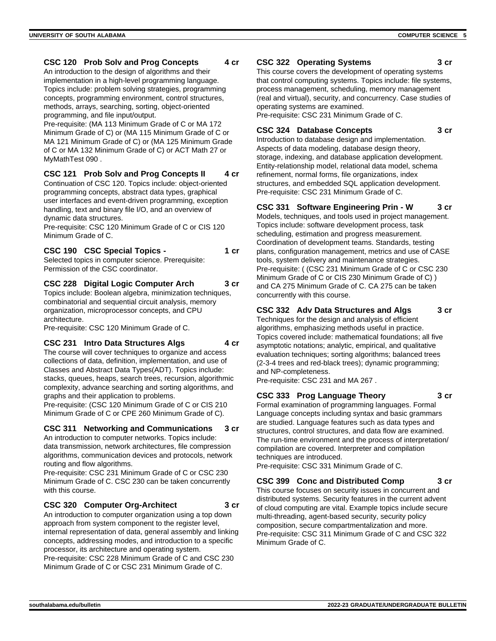#### **CSC 120 Prob Solv and Prog Concepts 4 cr**

An introduction to the design of algorithms and their implementation in a high-level programming language. Topics include: problem solving strategies, programming concepts, programming environment, control structures, methods, arrays, searching, sorting, object-oriented programming, and file input/output.

Pre-requisite: (MA 113 Minimum Grade of C or MA 172 Minimum Grade of C) or (MA 115 Minimum Grade of C or MA 121 Minimum Grade of C) or (MA 125 Minimum Grade of C or MA 132 Minimum Grade of C) or ACT Math 27 or MyMathTest 090 .

#### **CSC 121 Prob Solv and Prog Concepts II 4 cr**

Continuation of CSC 120. Topics include: object-oriented programming concepts, abstract data types, graphical user interfaces and event-driven programming, exception handling, text and binary file I/O, and an overview of dynamic data structures.

Pre-requisite: CSC 120 Minimum Grade of C or CIS 120 Minimum Grade of C.

### **CSC 190 CSC Special Topics - 1 cr**

Selected topics in computer science. Prerequisite: Permission of the CSC coordinator.

#### **CSC 228 Digital Logic Computer Arch 3 cr**

Topics include: Boolean algebra, minimization techniques, combinatorial and sequential circuit analysis, memory organization, microprocessor concepts, and CPU architecture.

Pre-requisite: CSC 120 Minimum Grade of C.

#### **CSC 231 Intro Data Structures Algs 4 cr**

The course will cover techniques to organize and access collections of data, definition, implementation, and use of Classes and Abstract Data Types(ADT). Topics include: stacks, queues, heaps, search trees, recursion, algorithmic complexity, advance searching and sorting algorithms, and graphs and their application to problems.

Pre-requisite: (CSC 120 Minimum Grade of C or CIS 210 Minimum Grade of C or CPE 260 Minimum Grade of C).

#### **CSC 311 Networking and Communications 3 cr**

An introduction to computer networks. Topics include: data transmission, network architectures, file compression algorithms, communication devices and protocols, network routing and flow algorithms.

Pre-requisite: CSC 231 Minimum Grade of C or CSC 230 Minimum Grade of C. CSC 230 can be taken concurrently with this course.

#### **CSC 320 Computer Org-Architect 3 cr**

An introduction to computer organization using a top down approach from system component to the register level, internal representation of data, general assembly and linking concepts, addressing modes, and introduction to a specific processor, its architecture and operating system. Pre-requisite: CSC 228 Minimum Grade of C and CSC 230 Minimum Grade of C or CSC 231 Minimum Grade of C.

#### **CSC 322 Operating Systems 3 cr**

This course covers the development of operating systems that control computing systems. Topics include: file systems, process management, scheduling, memory management (real and virtual), security, and concurrency. Case studies of operating systems are examined. Pre-requisite: CSC 231 Minimum Grade of C.

#### **CSC 324 Database Concepts 3 cr**

Introduction to database design and implementation. Aspects of data modeling, database design theory, storage, indexing, and database application development. Entity-relationship model, relational data model, schema refinement, normal forms, file organizations, index structures, and embedded SQL application development. Pre-requisite: CSC 231 Minimum Grade of C.

### **CSC 331 Software Engineering Prin - W 3 cr**

Models, techniques, and tools used in project management. Topics include: software development process, task scheduling, estimation and progress measurement. Coordination of development teams. Standards, testing plans, configuration management, metrics and use of CASE tools, system delivery and maintenance strategies. Pre-requisite: ( (CSC 231 Minimum Grade of C or CSC 230 Minimum Grade of C or CIS 230 Minimum Grade of C) ) and CA 275 Minimum Grade of C. CA 275 can be taken concurrently with this course.

### **CSC 332 Adv Data Structures and Algs 3 cr**

Techniques for the design and analysis of efficient algorithms, emphasizing methods useful in practice. Topics covered include: mathematical foundations; all five asymptotic notations; analytic, empirical, and qualitative evaluation techniques; sorting algorithms; balanced trees (2-3-4 trees and red-black trees); dynamic programming; and NP-completeness.

Pre-requisite: CSC 231 and MA 267 .

# **CSC 333 Prog Language Theory 3 cr**

Formal examination of programming languages. Formal Language concepts including syntax and basic grammars are studied. Language features such as data types and structures, control structures, and data flow are examined. The run-time environment and the process of interpretation/ compilation are covered. Interpreter and compilation techniques are introduced.

Pre-requisite: CSC 331 Minimum Grade of C.

#### **CSC 399 Conc and Distributed Comp 3 cr**

This course focuses on security issues in concurrent and distributed systems. Security features in the current advent of cloud computing are vital. Example topics include secure multi-threading, agent-based security, security policy composition, secure compartmentalization and more. Pre-requisite: CSC 311 Minimum Grade of C and CSC 322 Minimum Grade of C.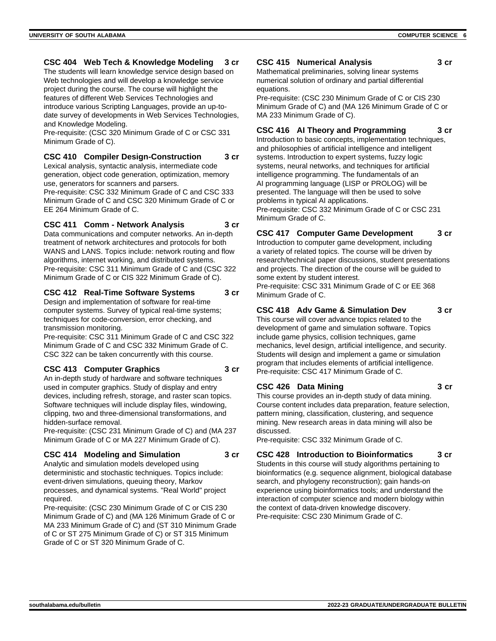### **CSC 404 Web Tech & Knowledge Modeling 3 cr**

The students will learn knowledge service design based on Web technologies and will develop a knowledge service project during the course. The course will highlight the features of different Web Services Technologies and introduce various Scripting Languages, provide an up-todate survey of developments in Web Services Technologies, and Knowledge Modeling.

Pre-requisite: (CSC 320 Minimum Grade of C or CSC 331 Minimum Grade of C).

### **CSC 410 Compiler Design-Construction 3 cr**

Lexical analysis, syntactic analysis, intermediate code generation, object code generation, optimization, memory use, generators for scanners and parsers.

Pre-requisite: CSC 332 Minimum Grade of C and CSC 333 Minimum Grade of C and CSC 320 Minimum Grade of C or EE 264 Minimum Grade of C.

#### **CSC 411 Comm - Network Analysis 3 cr**

Data communications and computer networks. An in-depth treatment of network architectures and protocols for both WANS and LANS. Topics include: network routing and flow algorithms, internet working, and distributed systems. Pre-requisite: CSC 311 Minimum Grade of C and (CSC 322 Minimum Grade of C or CIS 322 Minimum Grade of C).

#### **CSC 412 Real-Time Software Systems 3 cr**

Design and implementation of software for real-time computer systems. Survey of typical real-time systems; techniques for code-conversion, error checking, and transmission monitoring.

Pre-requisite: CSC 311 Minimum Grade of C and CSC 322 Minimum Grade of C and CSC 332 Minimum Grade of C. CSC 322 can be taken concurrently with this course.

#### **CSC 413 Computer Graphics 3 cr**

An in-depth study of hardware and software techniques used in computer graphics. Study of display and entry devices, including refresh, storage, and raster scan topics. Software techniques will include display files, windowing, clipping, two and three-dimensional transformations, and hidden-surface removal.

Pre-requisite: (CSC 231 Minimum Grade of C) and (MA 237 Minimum Grade of C or MA 227 Minimum Grade of C).

#### **CSC 414 Modeling and Simulation 3 cr**

Analytic and simulation models developed using deterministic and stochastic techniques. Topics include: event-driven simulations, queuing theory, Markov processes, and dynamical systems. "Real World" project required.

Pre-requisite: (CSC 230 Minimum Grade of C or CIS 230 Minimum Grade of C) and (MA 126 Minimum Grade of C or MA 233 Minimum Grade of C) and (ST 310 Minimum Grade of C or ST 275 Minimum Grade of C) or ST 315 Minimum Grade of C or ST 320 Minimum Grade of C.

#### **CSC 415 Numerical Analysis 3 cr**

Mathematical preliminaries, solving linear systems numerical solution of ordinary and partial differential equations.

Pre-requisite: (CSC 230 Minimum Grade of C or CIS 230 Minimum Grade of C) and (MA 126 Minimum Grade of C or MA 233 Minimum Grade of C).

## **CSC 416 AI Theory and Programming 3 cr**

Introduction to basic concepts, implementation techniques, and philosophies of artificial intelligence and intelligent systems. Introduction to expert systems, fuzzy logic systems, neural networks, and techniques for artificial intelligence programming. The fundamentals of an AI programming language (LISP or PROLOG) will be presented. The language will then be used to solve problems in typical AI applications. Pre-requisite: CSC 332 Minimum Grade of C or CSC 231 Minimum Grade of C.

### **CSC 417 Computer Game Development 3 cr**

Introduction to computer game development, including a variety of related topics. The course will be driven by research/technical paper discussions, student presentations and projects. The direction of the course will be guided to some extent by student interest.

Pre-requisite: CSC 331 Minimum Grade of C or EE 368 Minimum Grade of C.

# **CSC 418 Adv Game & Simulation Dev 3 cr**

This course will cover advance topics related to the development of game and simulation software. Topics include game physics, collision techniques, game mechanics, level design, artificial intelligence, and security. Students will design and implement a game or simulation program that includes elements of artificial intelligence. Pre-requisite: CSC 417 Minimum Grade of C.

#### **CSC 426 Data Mining 3 cr**

This course provides an in-depth study of data mining. Course content includes data preparation, feature selection, pattern mining, classification, clustering, and sequence mining. New research areas in data mining will also be discussed.

Pre-requisite: CSC 332 Minimum Grade of C.

# **CSC 428 Introduction to Bioinformatics 3 cr**

Students in this course will study algorithms pertaining to bioinformatics (e.g. sequence alignment, biological database search, and phylogeny reconstruction); gain hands-on experience using bioinformatics tools; and understand the interaction of computer science and modern biology within the context of data-driven knowledge discovery. Pre-requisite: CSC 230 Minimum Grade of C.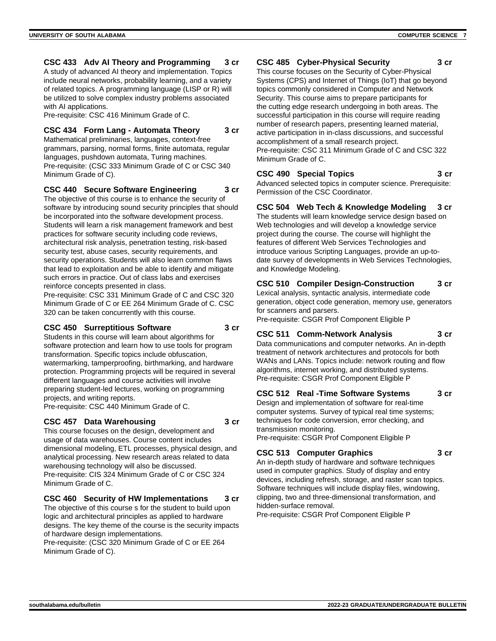#### **CSC 433 Adv AI Theory and Programming 3 cr**

A study of advanced AI theory and implementation. Topics include neural networks, probability learning, and a variety of related topics. A programming language (LISP or R) will be utilized to solve complex industry problems associated with AI applications.

Pre-requisite: CSC 416 Minimum Grade of C.

# **CSC 434 Form Lang - Automata Theory 3 cr**

Mathematical preliminaries, languages, context-free grammars, parsing, normal forms, finite automata, regular languages, pushdown automata, Turing machines. Pre-requisite: (CSC 333 Minimum Grade of C or CSC 340 Minimum Grade of C).

#### **CSC 440 Secure Software Engineering 3 cr**

The objective of this course is to enhance the security of software by introducing sound security principles that should be incorporated into the software development process. Students will learn a risk management framework and best practices for software security including code reviews, architectural risk analysis, penetration testing, risk-based security test, abuse cases, security requirements, and security operations. Students will also learn common flaws that lead to exploitation and be able to identify and mitigate such errors in practice. Out of class labs and exercises reinforce concepts presented in class.

Pre-requisite: CSC 331 Minimum Grade of C and CSC 320 Minimum Grade of C or EE 264 Minimum Grade of C. CSC 320 can be taken concurrently with this course.

#### **CSC 450 Surreptitious Software 3 cr**

Students in this course will learn about algorithms for software protection and learn how to use tools for program transformation. Specific topics include obfuscation, watermarking, tamperproofing, birthmarking, and hardware protection. Programming projects will be required in several different languages and course activities will involve preparing student-led lectures, working on programming projects, and writing reports.

Pre-requisite: CSC 440 Minimum Grade of C.

#### **CSC 457 Data Warehousing 3 cr**

This course focuses on the design, development and usage of data warehouses. Course content includes dimensional modeling, ETL processes, physical design, and analytical processing. New research areas related to data warehousing technology will also be discussed. Pre-requisite: CIS 324 Minimum Grade of C or CSC 324 Minimum Grade of C.

# **CSC 460 Security of HW Implementations 3 cr**

The objective of this course s for the student to build upon logic and architectural principles as applied to hardware designs. The key theme of the course is the security impacts of hardware design implementations.

Pre-requisite: (CSC 320 Minimum Grade of C or EE 264 Minimum Grade of C).

# **CSC 485 Cyber-Physical Security 3 cr**

This course focuses on the Security of Cyber-Physical Systems (CPS) and Internet of Things (IoT) that go beyond topics commonly considered in Computer and Network Security. This course aims to prepare participants for the cutting edge research undergoing in both areas. The successful participation in this course will require reading number of research papers, presenting learned material, active participation in in-class discussions, and successful accomplishment of a small research project. Pre-requisite: CSC 311 Minimum Grade of C and CSC 322 Minimum Grade of C.

# **CSC 490 Special Topics 3 cr**

Advanced selected topics in computer science. Prerequisite: Permission of the CSC Coordinator.

**CSC 504 Web Tech & Knowledge Modeling 3 cr**

The students will learn knowledge service design based on Web technologies and will develop a knowledge service project during the course. The course will highlight the features of different Web Services Technologies and introduce various Scripting Languages, provide an up-todate survey of developments in Web Services Technologies, and Knowledge Modeling.

**CSC 510 Compiler Design-Construction 3 cr** Lexical analysis, syntactic analysis, intermediate code generation, object code generation, memory use, generators

for scanners and parsers. Pre-requisite: CSGR Prof Component Eligible P

# **CSC 511 Comm-Network Analysis 3 cr**

Data communications and computer networks. An in-depth treatment of network architectures and protocols for both WANs and LANs. Topics include: network routing and flow algorithms, internet working, and distributed systems. Pre-requisite: CSGR Prof Component Eligible P

#### **CSC 512 Real -Time Software Systems 3 cr**

Design and implementation of software for real-time computer systems. Survey of typical real time systems; techniques for code conversion, error checking, and transmission monitoring. Pre-requisite: CSGR Prof Component Eligible P

#### **CSC 513 Computer Graphics 3 cr**

An in-depth study of hardware and software techniques used in computer graphics. Study of display and entry devices, including refresh, storage, and raster scan topics. Software techniques will include display files, windowing, clipping, two and three-dimensional transformation, and hidden-surface removal.

Pre-requisite: CSGR Prof Component Eligible P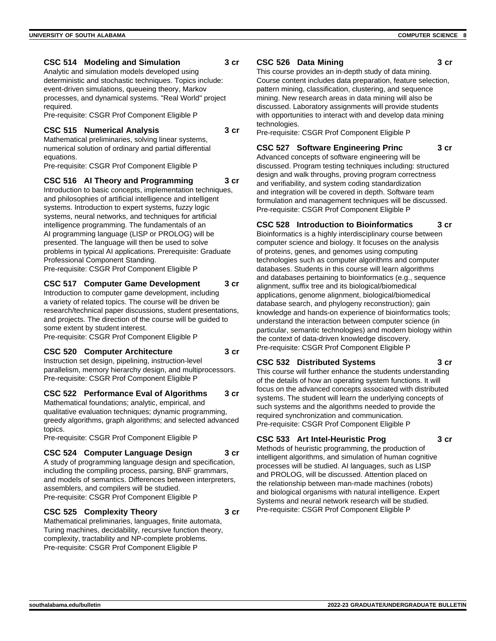#### **CSC 514 Modeling and Simulation 3 cr**

Analytic and simulation models developed using deterministic and stochastic techniques. Topics include: event-driven simulations, queueing theory, Markov processes, and dynamical systems. "Real World" project required.

Pre-requisite: CSGR Prof Component Eligible P

#### **CSC 515 Numerical Analysis 3 cr**

Mathematical preliminaries, solving linear systems, numerical solution of ordinary and partial differential equations.

Pre-requisite: CSGR Prof Component Eligible P

#### **CSC 516 AI Theory and Programming 3 cr**

Introduction to basic concepts, implementation techniques, and philosophies of artificial intelligence and intelligent systems. Introduction to expert systems, fuzzy logic systems, neural networks, and techniques for artificial intelligence programming. The fundamentals of an AI programming language (LISP or PROLOG) will be presented. The language will then be used to solve problems in typical AI applications. Prerequisite: Graduate Professional Component Standing.

Pre-requisite: CSGR Prof Component Eligible P

#### **CSC 517 Computer Game Development 3 cr**

Introduction to computer game development, including a variety of related topics. The course will be driven be research/technical paper discussions, student presentations, and projects. The direction of the course will be guided to some extent by student interest.

Pre-requisite: CSGR Prof Component Eligible P

#### **CSC 520 Computer Architecture 3 cr**

Instruction set design, pipelining, instruction-level parallelism, memory hierarchy design, and multiprocessors. Pre-requisite: CSGR Prof Component Eligible P

#### **CSC 522 Performance Eval of Algorithms 3 cr**

Mathematical foundations; analytic, empirical, and qualitative evaluation techniques; dynamic programming, greedy algorithms, graph algorithms; and selected advanced topics.

Pre-requisite: CSGR Prof Component Eligible P

#### **CSC 524 Computer Language Design 3 cr**

A study of programming language design and specification, including the compiling process, parsing, BNF grammars, and models of semantics. Differences between interpreters, assemblers, and compilers will be studied. Pre-requisite: CSGR Prof Component Eligible P

#### **CSC 525 Complexity Theory 3 cr**

Mathematical preliminaries, languages, finite automata, Turing machines, decidability, recursive function theory, complexity, tractability and NP-complete problems. Pre-requisite: CSGR Prof Component Eligible P

#### **CSC 526 Data Mining 3 cr**

This course provides an in-depth study of data mining. Course content includes data preparation, feature selection, pattern mining, classification, clustering, and sequence mining. New research areas in data mining will also be discussed. Laboratory assignments will provide students with opportunities to interact with and develop data mining technologies.

Pre-requisite: CSGR Prof Component Eligible P

# **CSC 527 Software Engineering Princ 3 cr**

Advanced concepts of software engineering will be discussed. Program testing techniques including: structured design and walk throughs, proving program correctness and verifiability, and system coding standardization and integration will be covered in depth. Software team formulation and management techniques will be discussed. Pre-requisite: CSGR Prof Component Eligible P

# **CSC 528 Introduction to Bioinformatics 3 cr**

Bioinformatics is a highly interdisciplinary course between computer science and biology. It focuses on the analysis of proteins, genes, and genomes using computing technologies such as computer algorithms and computer databases. Students in this course will learn algorithms and databases pertaining to bioinformatics (e.g., sequence alignment, suffix tree and its biological/biomedical applications, genome alignment, biological/biomedical database search, and phylogeny reconstruction); gain knowledge and hands-on experience of bioinformatics tools; understand the interaction between computer science (in particular, semantic technologies) and modern biology within the context of data-driven knowledge discovery. Pre-requisite: CSGR Prof Component Eligible P

# **CSC 532 Distributed Systems 3 cr**

This course will further enhance the students understanding of the details of how an operating system functions. It will focus on the advanced concepts associated with distributed systems. The student will learn the underlying concepts of such systems and the algorithms needed to provide the required synchronization and communication. Pre-requisite: CSGR Prof Component Eligible P

# **CSC 533 Art Intel-Heuristic Prog 3 cr**

Methods of heuristic programming, the production of intelligent algorithms, and simulation of human cognitive processes will be studied. AI languages, such as LISP and PROLOG, will be discussed. Attention placed on the relationship between man-made machines (robots) and biological organisms with natural intelligence. Expert Systems and neural network research will be studied. Pre-requisite: CSGR Prof Component Eligible P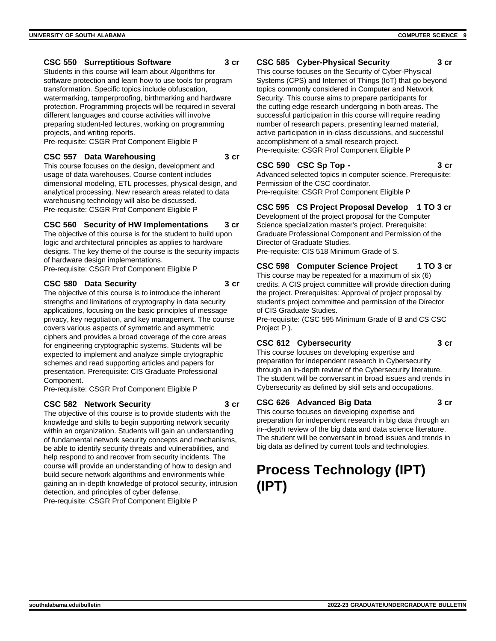### **CSC 550 Surreptitious Software 3 cr**

Students in this course will learn about Algorithms for software protection and learn how to use tools for program transformation. Specific topics include obfuscation, watermarking, tamperproofing, birthmarking and hardware protection. Programming projects will be required in several different languages and course activities will involve preparing student-led lectures, working on programming projects, and writing reports.

Pre-requisite: CSGR Prof Component Eligible P

#### **CSC 557 Data Warehousing 3 cr**

This course focuses on the design, development and usage of data warehouses. Course content includes dimensional modeling, ETL processes, physical design, and analytical processing. New research areas related to data warehousing technology will also be discussed. Pre-requisite: CSGR Prof Component Eligible P

#### **CSC 560 Security of HW Implementations 3 cr**

The objective of this course is for the student to build upon logic and architectural principles as applies to hardware designs. The key theme of the course is the security impacts of hardware design implementations.

Pre-requisite: CSGR Prof Component Eligible P

#### **CSC 580 Data Security 3 cr**

The objective of this course is to introduce the inherent strengths and limitations of cryptography in data security applications, focusing on the basic principles of message privacy, key negotiation, and key management. The course covers various aspects of symmetric and asymmetric ciphers and provides a broad coverage of the core areas for engineering cryptographic systems. Students will be expected to implement and analyze simple crytographic schemes and read supporting articles and papers for presentation. Prerequisite: CIS Graduate Professional Component.

Pre-requisite: CSGR Prof Component Eligible P

#### **CSC 582 Network Security 3 cr**

The objective of this course is to provide students with the knowledge and skills to begin supporting network security within an organization. Students will gain an understanding of fundamental network security concepts and mechanisms, be able to identify security threats and vulnerabilities, and help respond to and recover from security incidents. The course will provide an understanding of how to design and build secure network algorithms and environments while gaining an in-depth knowledge of protocol security, intrusion detection, and principles of cyber defense. Pre-requisite: CSGR Prof Component Eligible P

### **CSC 585 Cyber-Physical Security 3 cr**

This course focuses on the Security of Cyber-Physical Systems (CPS) and Internet of Things (IoT) that go beyond topics commonly considered in Computer and Network Security. This course aims to prepare participants for the cutting edge research undergoing in both areas. The successful participation in this course will require reading number of research papers, presenting learned material, active participation in in-class discussions, and successful accomplishment of a small research project. Pre-requisite: CSGR Prof Component Eligible P

# **CSC 590 CSC Sp Top - 3 cr**

Advanced selected topics in computer science. Prerequisite: Permission of the CSC coordinator. Pre-requisite: CSGR Prof Component Eligible P

# **CSC 595 CS Project Proposal Develop 1 TO 3 cr**

Development of the project proposal for the Computer Science specialization master's project. Prerequisite: Graduate Professional Component and Permission of the Director of Graduate Studies. Pre-requisite: CIS 518 Minimum Grade of S.

#### **CSC 598 Computer Science Project 1 TO 3 cr**

This course may be repeated for a maximum of six (6) credits. A CIS project committee will provide direction during the project. Prerequisites: Approval of project proposal by student's project committee and permission of the Director of CIS Graduate Studies.

Pre-requisite: (CSC 595 Minimum Grade of B and CS CSC Project P ).

# **CSC 612 Cybersecurity 3 cr**

This course focuses on developing expertise and preparation for independent research in Cybersecurity through an in-depth review of the Cybersecurity literature. The student will be conversant in broad issues and trends in Cybersecurity as defined by skill sets and occupations.

#### **CSC 626 Advanced Big Data 3 cr**

This course focuses on developing expertise and preparation for independent research in big data through an in--depth review of the big data and data science literature. The student will be conversant in broad issues and trends in big data as defined by current tools and technologies.

# **Process Technology (IPT) (IPT)**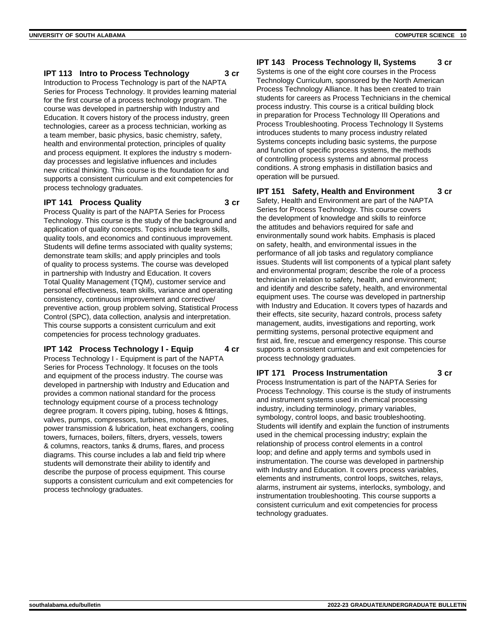#### **IPT 113 Intro to Process Technology 3 cr**

Introduction to Process Technology is part of the NAPTA Series for Process Technology. It provides learning material for the first course of a process technology program. The course was developed in partnership with Industry and Education. It covers history of the process industry, green technologies, career as a process technician, working as a team member, basic physics, basic chemistry, safety, health and environmental protection, principles of quality and process equipment. It explores the industry s modernday processes and legislative influences and includes new critical thinking. This course is the foundation for and supports a consistent curriculum and exit competencies for process technology graduates.

#### **IPT 141 Process Quality 3 cr**

Process Quality is part of the NAPTA Series for Process Technology. This course is the study of the background and application of quality concepts. Topics include team skills, quality tools, and economics and continuous improvement. Students will define terms associated with quality systems; demonstrate team skills; and apply principles and tools of quality to process systems. The course was developed in partnership with Industry and Education. It covers Total Quality Management (TQM), customer service and personal effectiveness, team skills, variance and operating consistency, continuous improvement and corrective/ preventive action, group problem solving, Statistical Process Control (SPC), data collection, analysis and interpretation. This course supports a consistent curriculum and exit competencies for process technology graduates.

#### **IPT 142 Process Technology I - Equip** 4 cr

Process Technology I - Equipment is part of the NAPTA Series for Process Technology. It focuses on the tools and equipment of the process industry. The course was developed in partnership with Industry and Education and provides a common national standard for the process technology equipment course of a process technology degree program. It covers piping, tubing, hoses & fittings, valves, pumps, compressors, turbines, motors & engines, power transmission & lubrication, heat exchangers, cooling towers, furnaces, boilers, filters, dryers, vessels, towers & columns, reactors, tanks & drums, flares, and process diagrams. This course includes a lab and field trip where students will demonstrate their ability to identify and describe the purpose of process equipment. This course supports a consistent curriculum and exit competencies for process technology graduates.

### **IPT 143 Process Technology II, Systems 3 cr**

Systems is one of the eight core courses in the Process Technology Curriculum, sponsored by the North American Process Technology Alliance. It has been created to train students for careers as Process Technicians in the chemical process industry. This course is a critical building block in preparation for Process Technology III Operations and Process Troubleshooting. Process Technology II Systems introduces students to many process industry related Systems concepts including basic systems, the purpose and function of specific process systems, the methods of controlling process systems and abnormal process conditions. A strong emphasis in distillation basics and operation will be pursued.

#### **IPT 151 Safety, Health and Environment 3 cr**

Safety, Health and Environment are part of the NAPTA Series for Process Technology. This course covers the development of knowledge and skills to reinforce the attitudes and behaviors required for safe and environmentally sound work habits. Emphasis is placed on safety, health, and environmental issues in the performance of all job tasks and regulatory compliance issues. Students will list components of a typical plant safety and environmental program; describe the role of a process technician in relation to safety, health, and environment; and identify and describe safety, health, and environmental equipment uses. The course was developed in partnership with Industry and Education. It covers types of hazards and their effects, site security, hazard controls, process safety management, audits, investigations and reporting, work permitting systems, personal protective equipment and first aid, fire, rescue and emergency response. This course supports a consistent curriculum and exit competencies for process technology graduates.

#### **IPT 171 Process Instrumentation 3 cr**

Process Instrumentation is part of the NAPTA Series for Process Technology. This course is the study of instruments and instrument systems used in chemical processing industry, including terminology, primary variables, symbology, control loops, and basic troubleshooting. Students will identify and explain the function of instruments used in the chemical processing industry; explain the relationship of process control elements in a control loop; and define and apply terms and symbols used in instrumentation. The course was developed in partnership with Industry and Education. It covers process variables, elements and instruments, control loops, switches, relays, alarms, instrument air systems, interlocks, symbology, and instrumentation troubleshooting. This course supports a consistent curriculum and exit competencies for process technology graduates.